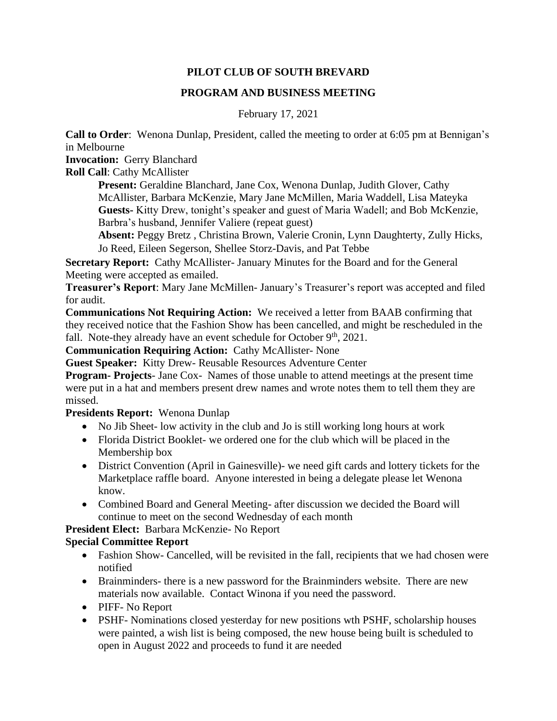# **PILOT CLUB OF SOUTH BREVARD**

## **PROGRAM AND BUSINESS MEETING**

February 17, 2021

**Call to Order**: Wenona Dunlap, President, called the meeting to order at 6:05 pm at Bennigan's in Melbourne

**Invocation:** Gerry Blanchard

**Roll Call**: Cathy McAllister

**Present:** Geraldine Blanchard, Jane Cox, Wenona Dunlap, Judith Glover, Cathy McAllister, Barbara McKenzie, Mary Jane McMillen, Maria Waddell, Lisa Mateyka **Guests-** Kitty Drew, tonight's speaker and guest of Maria Wadell; and Bob McKenzie, Barbra's husband, Jennifer Valiere (repeat guest)

**Absent:** Peggy Bretz , Christina Brown, Valerie Cronin, Lynn Daughterty, Zully Hicks, Jo Reed, Eileen Segerson, Shellee Storz-Davis, and Pat Tebbe

**Secretary Report:** Cathy McAllister- January Minutes for the Board and for the General Meeting were accepted as emailed.

**Treasurer's Report**: Mary Jane McMillen- January's Treasurer's report was accepted and filed for audit.

**Communications Not Requiring Action:** We received a letter from BAAB confirming that they received notice that the Fashion Show has been cancelled, and might be rescheduled in the fall. Note-they already have an event schedule for October  $9<sup>th</sup>$ , 2021.

**Communication Requiring Action:** Cathy McAllister- None

**Guest Speaker:** Kitty Drew- Reusable Resources Adventure Center

**Program- Projects**- Jane Cox- Names of those unable to attend meetings at the present time were put in a hat and members present drew names and wrote notes them to tell them they are missed.

## **Presidents Report:** Wenona Dunlap

- No Jib Sheet- low activity in the club and Jo is still working long hours at work
- Florida District Booklet- we ordered one for the club which will be placed in the Membership box
- District Convention (April in Gainesville)- we need gift cards and lottery tickets for the Marketplace raffle board. Anyone interested in being a delegate please let Wenona know.
- Combined Board and General Meeting- after discussion we decided the Board will continue to meet on the second Wednesday of each month

**President Elect:** Barbara McKenzie- No Report

## **Special Committee Report**

- Fashion Show- Cancelled, will be revisited in the fall, recipients that we had chosen were notified
- Brainminders- there is a new password for the Brainminders website. There are new materials now available. Contact Winona if you need the password.
- PIFF- No Report
- PSHF- Nominations closed yesterday for new positions wth PSHF, scholarship houses were painted, a wish list is being composed, the new house being built is scheduled to open in August 2022 and proceeds to fund it are needed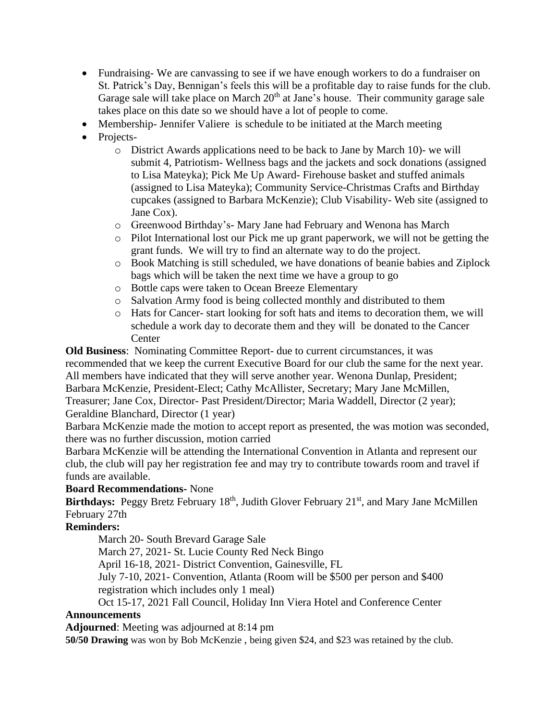- Fundraising-We are canvassing to see if we have enough workers to do a fundraiser on St. Patrick's Day, Bennigan's feels this will be a profitable day to raise funds for the club. Garage sale will take place on March  $20<sup>th</sup>$  at Jane's house. Their community garage sale takes place on this date so we should have a lot of people to come.
- Membership-Jennifer Valiere is schedule to be initiated at the March meeting
- Projects
	- o District Awards applications need to be back to Jane by March 10)- we will submit 4, Patriotism- Wellness bags and the jackets and sock donations (assigned to Lisa Mateyka); Pick Me Up Award- Firehouse basket and stuffed animals (assigned to Lisa Mateyka); Community Service-Christmas Crafts and Birthday cupcakes (assigned to Barbara McKenzie); Club Visability- Web site (assigned to Jane Cox).
	- o Greenwood Birthday's- Mary Jane had February and Wenona has March
	- o Pilot International lost our Pick me up grant paperwork, we will not be getting the grant funds. We will try to find an alternate way to do the project.
	- o Book Matching is still scheduled, we have donations of beanie babies and Ziplock bags which will be taken the next time we have a group to go
	- o Bottle caps were taken to Ocean Breeze Elementary
	- o Salvation Army food is being collected monthly and distributed to them
	- o Hats for Cancer- start looking for soft hats and items to decoration them, we will schedule a work day to decorate them and they will be donated to the Cancer **Center**

**Old Business**: Nominating Committee Report- due to current circumstances, it was recommended that we keep the current Executive Board for our club the same for the next year. All members have indicated that they will serve another year. Wenona Dunlap, President; Barbara McKenzie, President-Elect; Cathy McAllister, Secretary; Mary Jane McMillen, Treasurer; Jane Cox, Director- Past President/Director; Maria Waddell, Director (2 year); Geraldine Blanchard, Director (1 year)

Barbara McKenzie made the motion to accept report as presented, the was motion was seconded, there was no further discussion, motion carried

Barbara McKenzie will be attending the International Convention in Atlanta and represent our club, the club will pay her registration fee and may try to contribute towards room and travel if funds are available.

## **Board Recommendations-** None

Birthdays: Peggy Bretz February 18<sup>th</sup>, Judith Glover February 21<sup>st</sup>, and Mary Jane McMillen February 27th

## **Reminders:**

March 20- South Brevard Garage Sale

March 27, 2021- St. Lucie County Red Neck Bingo

April 16-18, 2021- District Convention, Gainesville, FL

July 7-10, 2021- Convention, Atlanta (Room will be \$500 per person and \$400 registration which includes only 1 meal)

Oct 15-17, 2021 Fall Council, Holiday Inn Viera Hotel and Conference Center

## **Announcements**

**Adjourned**: Meeting was adjourned at 8:14 pm

**50/50 Drawing** was won by Bob McKenzie , being given \$24, and \$23 was retained by the club.